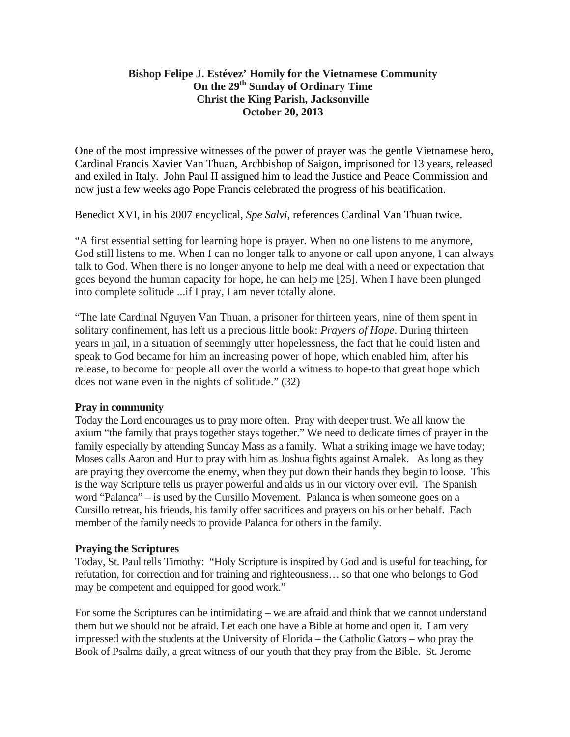## **Bishop Felipe J. Estévez' Homily for the Vietnamese Community On the 29th Sunday of Ordinary Time Christ the King Parish, Jacksonville October 20, 2013**

One of the most impressive witnesses of the power of prayer was the gentle Vietnamese hero, Cardinal Francis Xavier Van Thuan, Archbishop of Saigon, imprisoned for 13 years, released and exiled in Italy. John Paul II assigned him to lead the Justice and Peace Commission and now just a few weeks ago Pope Francis celebrated the progress of his beatification.

Benedict XVI, in his 2007 encyclical, *Spe Salvi*, references Cardinal Van Thuan twice.

"A first essential setting for learning hope is prayer. When no one listens to me anymore, God still listens to me. When I can no longer talk to anyone or call upon anyone, I can always talk to God. When there is no longer anyone to help me deal with a need or expectation that goes beyond the human capacity for hope, he can help me [25]. When I have been plunged into complete solitude ...if I pray, I am never totally alone.

"The late Cardinal Nguyen Van Thuan, a prisoner for thirteen years, nine of them spent in solitary confinement, has left us a precious little book: *Prayers of Hope*. During thirteen years in jail, in a situation of seemingly utter hopelessness, the fact that he could listen and speak to God became for him an increasing power of hope, which enabled him, after his release, to become for people all over the world a witness to hope-to that great hope which does not wane even in the nights of solitude." (32)

## **Pray in community**

Today the Lord encourages us to pray more often. Pray with deeper trust. We all know the axium "the family that prays together stays together." We need to dedicate times of prayer in the family especially by attending Sunday Mass as a family. What a striking image we have today; Moses calls Aaron and Hur to pray with him as Joshua fights against Amalek. As long as they are praying they overcome the enemy, when they put down their hands they begin to loose. This is the way Scripture tells us prayer powerful and aids us in our victory over evil. The Spanish word "Palanca" – is used by the Cursillo Movement. Palanca is when someone goes on a Cursillo retreat, his friends, his family offer sacrifices and prayers on his or her behalf. Each member of the family needs to provide Palanca for others in the family.

## **Praying the Scriptures**

Today, St. Paul tells Timothy: "Holy Scripture is inspired by God and is useful for teaching, for refutation, for correction and for training and righteousness… so that one who belongs to God may be competent and equipped for good work."

For some the Scriptures can be intimidating – we are afraid and think that we cannot understand them but we should not be afraid. Let each one have a Bible at home and open it. I am very impressed with the students at the University of Florida – the Catholic Gators – who pray the Book of Psalms daily, a great witness of our youth that they pray from the Bible. St. Jerome